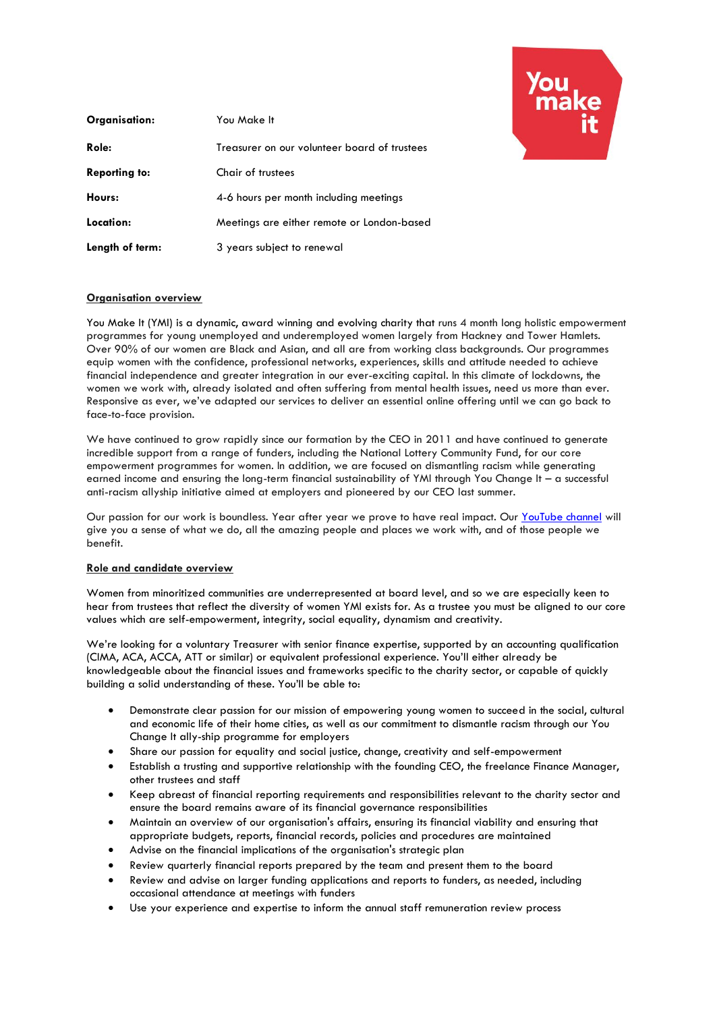

| Organisation:        | You Make It                                  |
|----------------------|----------------------------------------------|
| Role:                | Treasurer on our volunteer board of trustees |
| <b>Reporting to:</b> | Chair of trustees                            |
| Hours:               | 4-6 hours per month including meetings       |
| Location:            | Meetings are either remote or London-based   |
| Length of term:      | 3 years subject to renewal                   |

## **Organisation overview**

You Make It (YMI) is a dynamic, award winning and evolving charity that runs 4 month long holistic empowerment programmes for young unemployed and underemployed women largely from Hackney and Tower Hamlets. Over 90% of our women are Black and Asian, and all are from working class backgrounds. Our programmes equip women with the confidence, professional networks, experiences, skills and attitude needed to achieve financial independence and greater integration in our ever-exciting capital. In this climate of lockdowns, the women we work with, already isolated and often suffering from mental health issues, need us more than ever. Responsive as ever, we've adapted our services to deliver an essential online offering until we can go back to face-to-face provision.

We have continued to grow rapidly since our formation by the CEO in 2011 and have continued to generate incredible support from a range of funders, including the National Lottery Community Fund, for our core empowerment programmes for women. In addition, we are focused on dismantling racism while generating earned income and ensuring the long-term financial sustainability of YMI through You Change It – a successful anti-racism allyship initiative aimed at employers and pioneered by our CEO last summer.

Our passion for our work is boundless. Year after year we prove to have real impact. Our [YouTube channel](https://www.youtube.com/channel/UC6YDb9LUIYjLuPpOta-Oung) will give you a sense of what we do, all the amazing people and places we work with, and of those people we benefit.

## **Role and candidate overview**

Women from minoritized communities are underrepresented at board level, and so we are especially keen to hear from trustees that reflect the diversity of women YMI exists for. As a trustee you must be aligned to our core values which are self-empowerment, integrity, social equality, dynamism and creativity.

We're looking for a voluntary Treasurer with senior finance expertise, supported by an accounting qualification (CIMA, ACA, ACCA, ATT or similar) or equivalent professional experience. You'll either already be knowledgeable about the financial issues and frameworks specific to the charity sector, or capable of quickly building a solid understanding of these. You'll be able to:

- Demonstrate clear passion for our mission of empowering young women to succeed in the social, cultural and economic life of their home cities, as well as our commitment to dismantle racism through our You Change It ally-ship programme for employers
- Share our passion for equality and social justice, change, creativity and self-empowerment
- Establish a trusting and supportive relationship with the founding CEO, the freelance Finance Manager, other trustees and staff
- Keep abreast of financial reporting requirements and responsibilities relevant to the charity sector and ensure the board remains aware of its financial governance responsibilities
- Maintain an overview of our organisation's affairs, ensuring its financial viability and ensuring that appropriate budgets, reports, financial records, policies and procedures are maintained
- Advise on the financial implications of the organisation's strategic plan
- Review quarterly financial reports prepared by the team and present them to the board
- Review and advise on larger funding applications and reports to funders, as needed, including occasional attendance at meetings with funders
- Use your experience and expertise to inform the annual staff remuneration review process